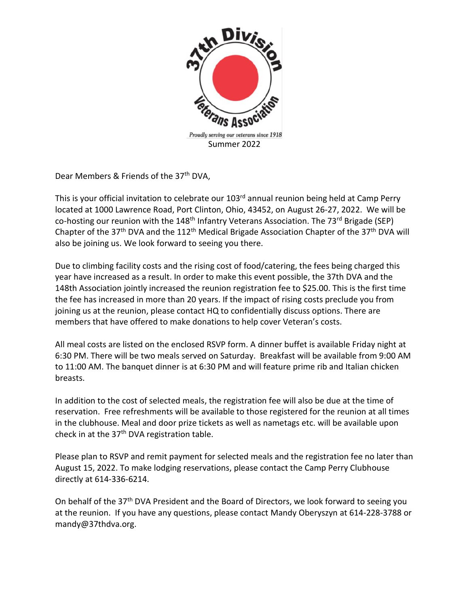

Dear Members & Friends of the 37<sup>th</sup> DVA,

This is your official invitation to celebrate our 103<sup>rd</sup> annual reunion being held at Camp Perry located at 1000 Lawrence Road, Port Clinton, Ohio, 43452, on August 26-27, 2022. We will be co-hosting our reunion with the  $148<sup>th</sup>$  Infantry Veterans Association. The 73<sup>rd</sup> Brigade (SEP) Chapter of the 37<sup>th</sup> DVA and the 112<sup>th</sup> Medical Brigade Association Chapter of the 37<sup>th</sup> DVA will also be joining us. We look forward to seeing you there.

Due to climbing facility costs and the rising cost of food/catering, the fees being charged this year have increased as a result. In order to make this event possible, the 37th DVA and the 148th Association jointly increased the reunion registration fee to \$25.00. This is the first time the fee has increased in more than 20 years. If the impact of rising costs preclude you from joining us at the reunion, please contact HQ to confidentially discuss options. There are members that have offered to make donations to help cover Veteran's costs.

All meal costs are listed on the enclosed RSVP form. A dinner buffet is available Friday night at 6:30 PM. There will be two meals served on Saturday. Breakfast will be available from 9:00 AM to 11:00 AM. The banquet dinner is at 6:30 PM and will feature prime rib and Italian chicken breasts.

In addition to the cost of selected meals, the registration fee will also be due at the time of reservation. Free refreshments will be available to those registered for the reunion at all times in the clubhouse. Meal and door prize tickets as well as nametags etc. will be available upon check in at the 37<sup>th</sup> DVA registration table.

Please plan to RSVP and remit payment for selected meals and the registration fee no later than August 15, 2022. To make lodging reservations, please contact the Camp Perry Clubhouse directly at 614-336-6214.

On behalf of the 37<sup>th</sup> DVA President and the Board of Directors, we look forward to seeing you at the reunion. If you have any questions, please contact Mandy Oberyszyn at 614-228-3788 or mandy@37thdva.org.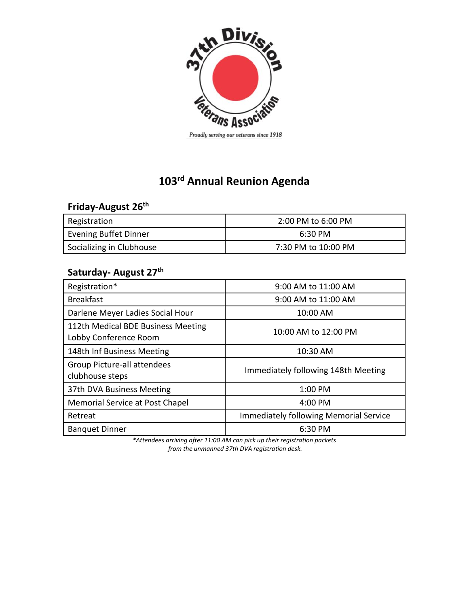

#### Proudly serving our veterans since 1918

# **103 rd Annual Reunion Agenda**

### **Friday-August 26th**

| . .                      |                     |
|--------------------------|---------------------|
| Registration             | 2:00 PM to 6:00 PM  |
| Evening Buffet Dinner    | 6:30 PM             |
| Socializing in Clubhouse | 7:30 PM to 10:00 PM |

## **Saturday- August 27 th**

| Registration*                                               | 9:00 AM to 11:00 AM                           |  |  |
|-------------------------------------------------------------|-----------------------------------------------|--|--|
| <b>Breakfast</b>                                            | 9:00 AM to 11:00 AM                           |  |  |
| Darlene Meyer Ladies Social Hour                            | 10:00 AM                                      |  |  |
| 112th Medical BDE Business Meeting<br>Lobby Conference Room | 10:00 AM to 12:00 PM                          |  |  |
| 148th Inf Business Meeting                                  | 10:30 AM                                      |  |  |
| Group Picture-all attendees<br>clubhouse steps              | Immediately following 148th Meeting           |  |  |
| 37th DVA Business Meeting                                   | 1:00 PM                                       |  |  |
| Memorial Service at Post Chapel                             | 4:00 PM                                       |  |  |
| Retreat                                                     | <b>Immediately following Memorial Service</b> |  |  |
| <b>Banquet Dinner</b>                                       | 6:30 PM                                       |  |  |

*\*Attendees arriving after 11:00 AM can pick up their registration packets from the unmanned 37th DVA registration desk.*